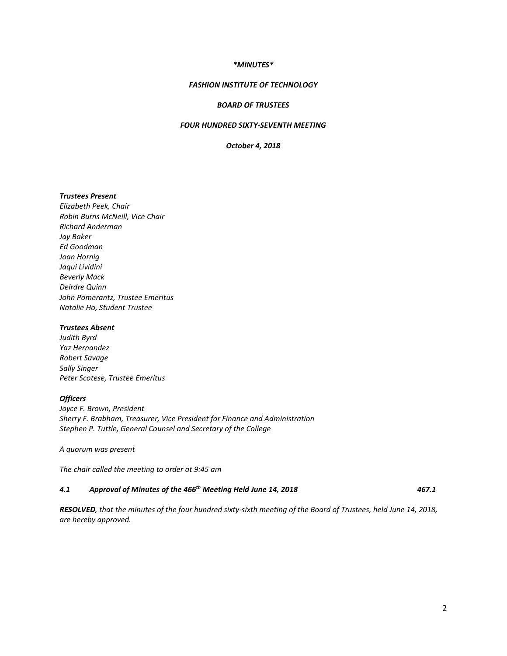## *\*MINUTES\**

## *FASHION INSTITUTE OF TECHNOLOGY*

# *BOARD OF TRUSTEES*

# *FOUR HUNDRED SIXTY-SEVENTH MEETING*

*October 4, 2018*

# *Trustees Present*

*Elizabeth Peek, Chair Robin Burns McNeill, Vice Chair Richard Anderman Jay Baker Ed Goodman Joan Hornig Jaqui Lividini Beverly Mack Deirdre Quinn John Pomerantz, Trustee Emeritus Natalie Ho, Student Trustee*

#### *Trustees Absent*

*Judith Byrd Yaz Hernandez Robert Savage Sally Singer Peter Scotese, Trustee Emeritus*

#### *Officers*

*Joyce F. Brown, President Sherry F. Brabham, Treasurer, Vice President for Finance and Administration Stephen P. Tuttle, General Counsel and Secretary of the College*

*A quorum was present*

*The chair called the meeting to order at 9:45 am*

#### *4.1 Approval of Minutes of the 466th Meeting Held June 14, 2018 467.1*

*RESOLVED, that the minutes of the four hundred sixty-sixth meeting of the Board of Trustees, held June 14, 2018, are hereby approved.*